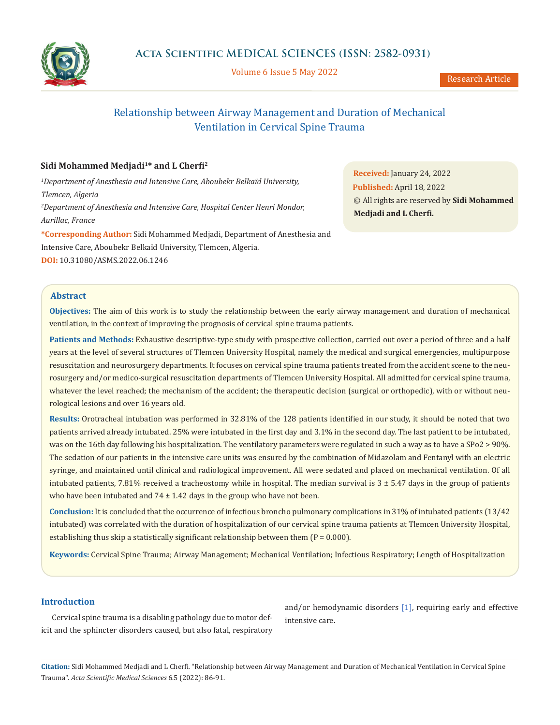

Volume 6 Issue 5 May 2022

# Relationship between Airway Management and Duration of Mechanical Ventilation in Cervical Spine Trauma

## **Sidi Mohammed Medjadi1\* and L Cherfi<sup>2</sup>**

<sup>1</sup>Department of Anesthesia and Intensive Care, Aboubekr Belkaïd University, *Tlemcen, Algeria 2 Department of Anesthesia and Intensive Care, Hospital Center Henri Mondor, Aurillac, France* **\*Corresponding Author:** Sidi Mohammed Medjadi, Department of Anesthesia and Intensive Care, Aboubekr Belkaïd University, Tlemcen, Algeria. **DOI:** [10.31080/ASMS.2022.06.1246](https://actascientific.com/ASMS/pdf/ASMS-06-1246.pdf)

**Received:** January 24, 2022 **Published:** April 18, 2022 © All rights are reserved by **Sidi Mohammed Medjadi and L Cherfi.**

## **Abstract**

**Objectives:** The aim of this work is to study the relationship between the early airway management and duration of mechanical ventilation, in the context of improving the prognosis of cervical spine trauma patients.

**Patients and Methods:** Exhaustive descriptive-type study with prospective collection, carried out over a period of three and a half years at the level of several structures of Tlemcen University Hospital, namely the medical and surgical emergencies, multipurpose resuscitation and neurosurgery departments. It focuses on cervical spine trauma patients treated from the accident scene to the neurosurgery and/or medico-surgical resuscitation departments of Tlemcen University Hospital. All admitted for cervical spine trauma, whatever the level reached; the mechanism of the accident; the therapeutic decision (surgical or orthopedic), with or without neurological lesions and over 16 years old.

**Results:** Orotracheal intubation was performed in 32.81% of the 128 patients identified in our study, it should be noted that two patients arrived already intubated. 25% were intubated in the first day and 3.1% in the second day. The last patient to be intubated, was on the 16th day following his hospitalization. The ventilatory parameters were regulated in such a way as to have a SPo2 > 90%. The sedation of our patients in the intensive care units was ensured by the combination of Midazolam and Fentanyl with an electric syringe, and maintained until clinical and radiological improvement. All were sedated and placed on mechanical ventilation. Of all intubated patients, 7.81% received a tracheostomy while in hospital. The median survival is  $3 \pm 5.47$  days in the group of patients who have been intubated and  $74 \pm 1.42$  days in the group who have not been.

**Conclusion:** It is concluded that the occurrence of infectious broncho pulmonary complications in 31% of intubated patients (13/42 intubated) was correlated with the duration of hospitalization of our cervical spine trauma patients at Tlemcen University Hospital, establishing thus skip a statistically significant relationship between them  $(P = 0.000)$ .

**Keywords:** Cervical Spine Trauma; Airway Management; Mechanical Ventilation; Infectious Respiratory; Length of Hospitalization

## **Introduction**

Cervical spine trauma is a disabling pathology due to motor deficit and the sphincter disorders caused, but also fatal, respiratory

and/or hemodynamic disorders [1], requiring early and effective intensive care.

**Citation:** Sidi Mohammed Medjadi and L Cherfi*.* "Relationship between Airway Management and Duration of Mechanical Ventilation in Cervical Spine Trauma". *Acta Scientific Medical Sciences* 6.5 (2022): 86-91.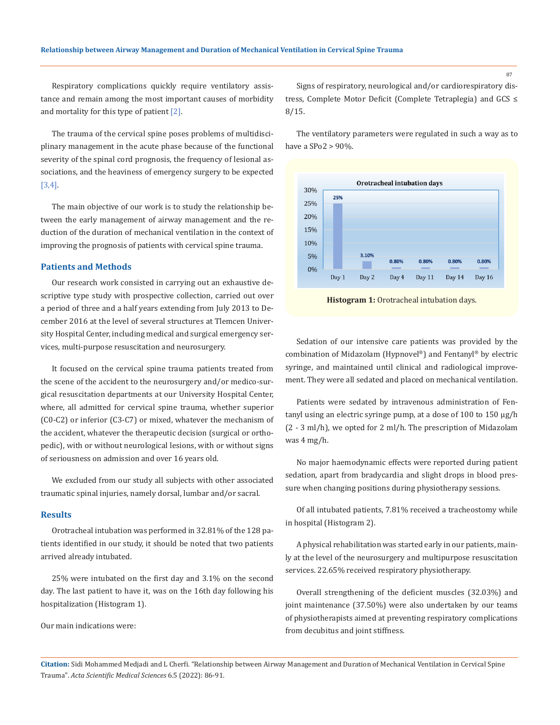Respiratory complications quickly require ventilatory assistance and remain among the most important causes of morbidity and mortality for this type of patient  $[2]$ .

The trauma of the cervical spine poses problems of multidisciplinary management in the acute phase because of the functional severity of the spinal cord prognosis, the frequency of lesional associations, and the heaviness of emergency surgery to be expected [3,4].

The main objective of our work is to study the relationship between the early management of airway management and the reduction of the duration of mechanical ventilation in the context of improving the prognosis of patients with cervical spine trauma.

## **Patients and Methods**

Our research work consisted in carrying out an exhaustive descriptive type study with prospective collection, carried out over a period of three and a half years extending from July 2013 to December 2016 at the level of several structures at Tlemcen University Hospital Center, including medical and surgical emergency services, multi-purpose resuscitation and neurosurgery.

It focused on the cervical spine trauma patients treated from the scene of the accident to the neurosurgery and/or medico-surgical resuscitation departments at our University Hospital Center, where, all admitted for cervical spine trauma, whether superior (C0-C2) or inferior (C3-C7) or mixed, whatever the mechanism of the accident, whatever the therapeutic decision (surgical or orthopedic), with or without neurological lesions, with or without signs of seriousness on admission and over 16 years old.

We excluded from our study all subjects with other associated traumatic spinal injuries, namely dorsal, lumbar and/or sacral.

#### **Results**

Orotracheal intubation was performed in 32.81% of the 128 patients identified in our study, it should be noted that two patients arrived already intubated.

25% were intubated on the first day and 3.1% on the second day. The last patient to have it, was on the 16th day following his hospitalization (Histogram 1).

Our main indications were:

Signs of respiratory, neurological and/or cardiorespiratory distress, Complete Motor Deficit (Complete Tetraplegia) and GCS ≤ 8/15.

The ventilatory parameters were regulated in such a way as to have a SPo2 > 90%.



**Histogram 1:** Orotracheal intubation days.

Sedation of our intensive care patients was provided by the combination of Midazolam (Hypnovel®) and Fentanyl® by electric syringe, and maintained until clinical and radiological improvement. They were all sedated and placed on mechanical ventilation.

Patients were sedated by intravenous administration of Fentanyl using an electric syringe pump, at a dose of 100 to 150 µg/h (2 - 3 ml/h), we opted for 2 ml/h. The prescription of Midazolam was 4 mg/h.

No major haemodynamic effects were reported during patient sedation, apart from bradycardia and slight drops in blood pressure when changing positions during physiotherapy sessions.

Of all intubated patients, 7.81% received a tracheostomy while in hospital (Histogram 2).

A physical rehabilitation was started early in our patients, mainly at the level of the neurosurgery and multipurpose resuscitation services. 22.65% received respiratory physiotherapy.

Overall strengthening of the deficient muscles (32.03%) and joint maintenance (37.50%) were also undertaken by our teams of physiotherapists aimed at preventing respiratory complications from decubitus and joint stiffness.

**Citation:** Sidi Mohammed Medjadi and L Cherfi*.* "Relationship between Airway Management and Duration of Mechanical Ventilation in Cervical Spine Trauma". *Acta Scientific Medical Sciences* 6.5 (2022): 86-91.

87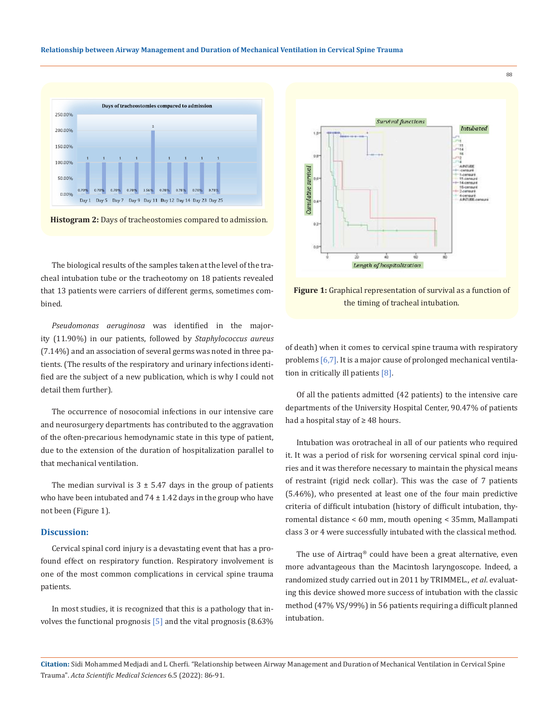

**Histogram 2:** Days of tracheostomies compared to admission.

The biological results of the samples taken at the level of the tracheal intubation tube or the tracheotomy on 18 patients revealed that 13 patients were carriers of different germs, sometimes combined.

*Pseudomonas aeruginosa* was identified in the majority (11.90%) in our patients, followed by *Staphylococcus aureus* (7.14%) and an association of several germs was noted in three patients. (The results of the respiratory and urinary infections identified are the subject of a new publication, which is why I could not detail them further).

The occurrence of nosocomial infections in our intensive care and neurosurgery departments has contributed to the aggravation of the often-precarious hemodynamic state in this type of patient, due to the extension of the duration of hospitalization parallel to that mechanical ventilation.

The median survival is  $3 \pm 5.47$  days in the group of patients who have been intubated and  $74 \pm 1.42$  days in the group who have not been (Figure 1).

#### **Discussion:**

Cervical spinal cord injury is a devastating event that has a profound effect on respiratory function. Respiratory involvement is one of the most common complications in cervical spine trauma patients.

In most studies, it is recognized that this is a pathology that involves the functional prognosis  $[5]$  and the vital prognosis (8.63%)



88

**Figure 1:** Graphical representation of survival as a function of the timing of tracheal intubation.

of death) when it comes to cervical spine trauma with respiratory problems [6,7]. It is a major cause of prolonged mechanical ventilation in critically ill patients [8].

Of all the patients admitted (42 patients) to the intensive care departments of the University Hospital Center, 90.47% of patients had a hospital stay of ≥ 48 hours.

Intubation was orotracheal in all of our patients who required it. It was a period of risk for worsening cervical spinal cord injuries and it was therefore necessary to maintain the physical means of restraint (rigid neck collar). This was the case of 7 patients (5.46%), who presented at least one of the four main predictive criteria of difficult intubation (history of difficult intubation, thyromental distance < 60 mm, mouth opening < 35mm, Mallampati class 3 or 4 were successfully intubated with the classical method.

The use of Airtraq® could have been a great alternative, even more advantageous than the Macintosh laryngoscope. Indeed, a randomized study carried out in 2011 by TRIMMEL., *et al*. evaluating this device showed more success of intubation with the classic method (47% VS/99%) in 56 patients requiring a difficult planned intubation.

**Citation:** Sidi Mohammed Medjadi and L Cherfi*.* "Relationship between Airway Management and Duration of Mechanical Ventilation in Cervical Spine Trauma". *Acta Scientific Medical Sciences* 6.5 (2022): 86-91.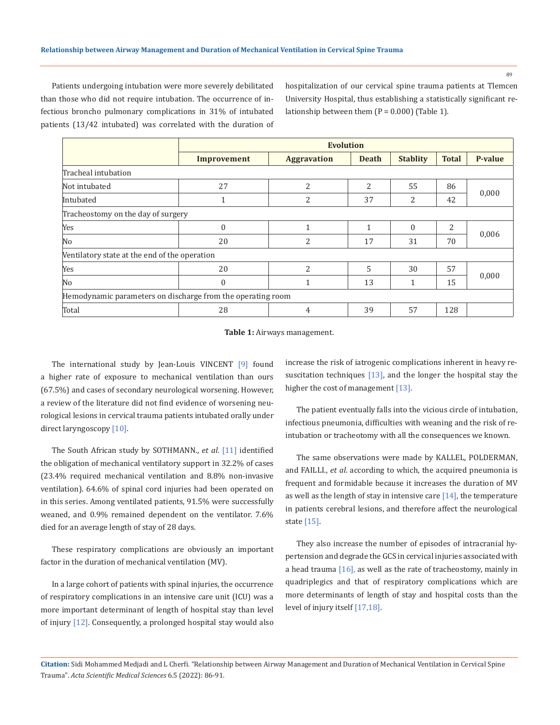89

Patients undergoing intubation were more severely debilitated than those who did not require intubation. The occurrence of infectious broncho pulmonary complications in 31% of intubated patients (13/42 intubated) was correlated with the duration of hospitalization of our cervical spine trauma patients at Tlemcen University Hospital, thus establishing a statistically significant relationship between them  $(P = 0.000)$  (Table 1).

|                                                             | <b>Evolution</b> |                    |                |                 |                |         |
|-------------------------------------------------------------|------------------|--------------------|----------------|-----------------|----------------|---------|
|                                                             | Improvement      | <b>Aggravation</b> | <b>Death</b>   | <b>Stablity</b> | <b>Total</b>   | P-value |
| Tracheal intubation                                         |                  |                    |                |                 |                |         |
| Not intubated                                               | 27               | 2                  | 2              | 55              | 86             | 0,000   |
| Intubated                                                   | 1                | 2                  | 37             | 2               | 42             |         |
| Tracheostomy on the day of surgery                          |                  |                    |                |                 |                |         |
| Yes                                                         | $\mathbf{0}$     | $\mathbf{1}$       | $\mathbf{1}$   | $\theta$        | $\overline{2}$ | 0,006   |
| No                                                          | 20               | 2                  | 17             | 31              | 70             |         |
| Ventilatory state at the end of the operation               |                  |                    |                |                 |                |         |
| Yes                                                         | 20               | 2                  | $\overline{5}$ | 30              | 57             | 0,000   |
| No                                                          | $\mathbf{0}$     | 1                  | 13             | 1               | 15             |         |
| Hemodynamic parameters on discharge from the operating room |                  |                    |                |                 |                |         |
| Total                                                       | 28               | 4                  | 39             | 57              | 128            |         |

**Table 1:** Airways management.

The international study by Jean-Louis VINCENT [9] found a higher rate of exposure to mechanical ventilation than ours (67.5%) and cases of secondary neurological worsening. However, a review of the literature did not find evidence of worsening neurological lesions in cervical trauma patients intubated orally under direct laryngoscopy [10].

The South African study by SOTHMANN., *et al*. [11] identified the obligation of mechanical ventilatory support in 32.2% of cases (23.4% required mechanical ventilation and 8.8% non-invasive ventilation). 64.6% of spinal cord injuries had been operated on in this series. Among ventilated patients, 91.5% were successfully weaned, and 0.9% remained dependent on the ventilator. 7.6% died for an average length of stay of 28 days.

These respiratory complications are obviously an important factor in the duration of mechanical ventilation (MV).

In a large cohort of patients with spinal injuries, the occurrence of respiratory complications in an intensive care unit (ICU) was a more important determinant of length of hospital stay than level of injury [12]. Consequently, a prolonged hospital stay would also increase the risk of iatrogenic complications inherent in heavy resuscitation techniques  $[13]$ , and the longer the hospital stay the higher the cost of management [13].

The patient eventually falls into the vicious circle of intubation, infectious pneumonia, difficulties with weaning and the risk of reintubation or tracheotomy with all the consequences we known.

The same observations were made by KALLEL, POLDERMAN, and FAILLI., *et al*. according to which, the acquired pneumonia is frequent and formidable because it increases the duration of MV as well as the length of stay in intensive care  $[14]$ , the temperature in patients cerebral lesions, and therefore affect the neurological state [15].

They also increase the number of episodes of intracranial hypertension and degrade the GCS in cervical injuries associated with a head trauma [16], as well as the rate of tracheostomy, mainly in quadriplegics and that of respiratory complications which are more determinants of length of stay and hospital costs than the level of injury itself [17,18].

**Citation:** Sidi Mohammed Medjadi and L Cherfi*.* "Relationship between Airway Management and Duration of Mechanical Ventilation in Cervical Spine Trauma". *Acta Scientific Medical Sciences* 6.5 (2022): 86-91.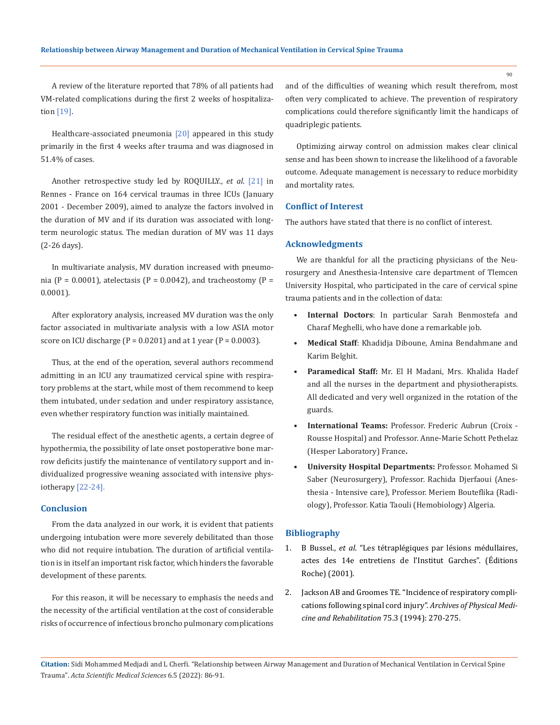A review of the literature reported that 78% of all patients had VM-related complications during the first 2 weeks of hospitalization [19].

Healthcare-associated pneumonia [20] appeared in this study primarily in the first 4 weeks after trauma and was diagnosed in 51.4% of cases.

Another retrospective study led by ROQUILLY., *et al*. [21] in Rennes - France on 164 cervical traumas in three ICUs (January 2001 - December 2009), aimed to analyze the factors involved in the duration of MV and if its duration was associated with longterm neurologic status. The median duration of MV was 11 days (2-26 days).

In multivariate analysis, MV duration increased with pneumonia (P = 0.0001), atelectasis (P = 0.0042), and tracheostomy (P = 0.0001).

After exploratory analysis, increased MV duration was the only factor associated in multivariate analysis with a low ASIA motor score on ICU discharge  $(P = 0.0201)$  and at 1 year  $(P = 0.0003)$ .

Thus, at the end of the operation, several authors recommend admitting in an ICU any traumatized cervical spine with respiratory problems at the start, while most of them recommend to keep them intubated, under sedation and under respiratory assistance, even whether respiratory function was initially maintained.

The residual effect of the anesthetic agents, a certain degree of hypothermia, the possibility of late onset postoperative bone marrow deficits justify the maintenance of ventilatory support and individualized progressive weaning associated with intensive physiotherapy [22-24].

## **Conclusion**

From the data analyzed in our work, it is evident that patients undergoing intubation were more severely debilitated than those who did not require intubation. The duration of artificial ventilation is in itself an important risk factor, which hinders the favorable development of these parents.

For this reason, it will be necessary to emphasis the needs and the necessity of the artificial ventilation at the cost of considerable risks of occurrence of infectious broncho pulmonary complications and of the difficulties of weaning which result therefrom, most often very complicated to achieve. The prevention of respiratory complications could therefore significantly limit the handicaps of quadriplegic patients.

Optimizing airway control on admission makes clear clinical sense and has been shown to increase the likelihood of a favorable outcome. Adequate management is necessary to reduce morbidity and mortality rates.

### **Conflict of Interest**

The authors have stated that there is no conflict of interest.

## **Acknowledgments**

We are thankful for all the practicing physicians of the Neurosurgery and Anesthesia-Intensive care department of Tlemcen University Hospital, who participated in the care of cervical spine trauma patients and in the collection of data:

- **• Internal Doctors**: In particular Sarah Benmostefa and Charaf Meghelli, who have done a remarkable job.
- **• Medical Staff**: Khadidja Diboune, Amina Bendahmane and Karim Belghit.
- **• Paramedical Staff:** Mr. El H Madani, Mrs. Khalida Hadef and all the nurses in the department and physiotherapists. All dedicated and very well organized in the rotation of the guards.
- **• International Teams:** Professor. Frederic Aubrun (Croix Rousse Hospital) and Professor. Anne-Marie Schott Pethelaz (Hesper Laboratory) France**.**
- **• University Hospital Departments:** Professor. Mohamed Si Saber (Neurosurgery), Professor. Rachida Djerfaoui (Anesthesia - Intensive care), Professor. Meriem Bouteflika (Radiology), Professor. Katia Taouli (Hemobiology) Algeria.

#### **Bibliography**

- 1. B Bussel., *et al*. "Les tétraplégiques par lésions médullaires, actes des 14e entretiens de l'Institut Garches". (Éditions Roche) (2001).
- 2. [Jackson AB and Groomes TE. "Incidence of respiratory compli](https://pubmed.ncbi.nlm.nih.gov/8129577/)[cations following spinal cord injury".](https://pubmed.ncbi.nlm.nih.gov/8129577/) *Archives of Physical Medi[cine and Rehabilitation](https://pubmed.ncbi.nlm.nih.gov/8129577/)* 75.3 (1994): 270-275.

90

**Citation:** Sidi Mohammed Medjadi and L Cherfi*.* "Relationship between Airway Management and Duration of Mechanical Ventilation in Cervical Spine Trauma". *Acta Scientific Medical Sciences* 6.5 (2022): 86-91.